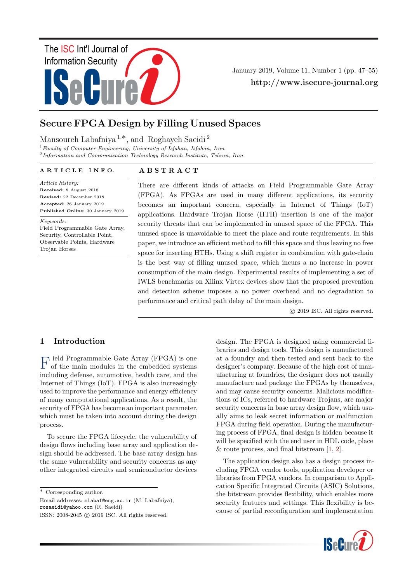

January 2019, Volume 11, Number 1 (pp. 47–55) http://www.isecure-journal.org

# Secure FPGA Design by Filling Unused Spaces

Mansoureh Labafniya <sup>1</sup>,∗, and Roghayeh Saeidi <sup>2</sup>

 $1$  Faculty of Computer Engineering, University of Isfahan, Isfahan, Iran <sup>2</sup>Information and Communication Technology Research Institute, Tehran, Iran

#### A R T I C L E I N F O.

Article history: Received: 8 August 2018 Revised: 22 December 2018 Accepted: 26 January 2019 Published Online: 30 January 2019

Keywords:

Field Programmable Gate Array, Security, Controllable Point, Observable Points, Hardware Trojan Horses

### A B S T R A C T

There are different kinds of attacks on Field Programmable Gate Array (FPGA). As FPGAs are used in many different applications, its security becomes an important concern, especially in Internet of Things (IoT) applications. Hardware Trojan Horse (HTH) insertion is one of the major security threats that can be implemented in unused space of the FPGA. This unused space is unavoidable to meet the place and route requirements. In this paper, we introduce an efficient method to fill this space and thus leaving no free space for inserting HTHs. Using a shift register in combination with gate-chain is the best way of filling unused space, which incurs a no increase in power consumption of the main design. Experimental results of implementing a set of IWLS benchmarks on Xilinx Virtex devices show that the proposed prevention and detection scheme imposes a no power overhead and no degradation to performance and critical path delay of the main design.

c 2019 ISC. All rights reserved.

## 1 Introduction

F of the main modules in the embedded systems ield Programmable Gate Array (FPGA) is one including defense, automotive, health care, and the Internet of Things (IoT). FPGA is also increasingly used to improve the performance and energy efficiency of many computational applications. As a result, the security of FPGA has become an important parameter, which must be taken into account during the design process.

To secure the FPGA lifecycle, the vulnerability of design flows including base array and application design should be addressed. The base array design has the same vulnerability and security concerns as any other integrated circuits and semiconductor devices

∗ Corresponding author.

Email addresses: mlabaf@eng.ac.ir (M. Labafniya), rosaeidi@yahoo.com (R. Saeidi)

design. The FPGA is designed using commercial libraries and design tools. This design is manufactured at a foundry and then tested and sent back to the designer's company. Because of the high cost of manufacturing at foundries, the designer does not usually manufacture and package the FPGAs by themselves, and may cause security concerns. Malicious modifications of ICs, referred to hardware Trojans, are major security concerns in base array design flow, which usually aims to leak secret information or malfunction FPGA during field operation. During the manufacturing process of FPGA, final design is hidden because it will be specified with the end user in HDL code, place  $&$  route process, and final bitstream  $[1, 2]$  $[1, 2]$  $[1, 2]$ .

The application design also has a design process including FPGA vendor tools, application developer or libraries from FPGA vendors. In comparison to Application Specific Integrated Circuits (ASIC) Solutions, the bitstream provides flexibility, which enables more security features and settings. This flexibility is because of partial reconfiguration and implementation



ISSN: 2008-2045 c 2019 ISC. All rights reserved.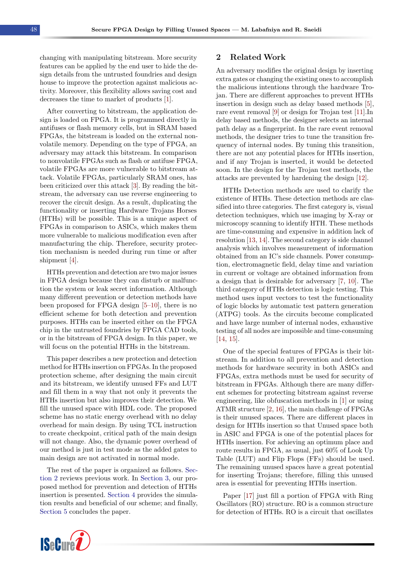changing with manipulating bitstream. More security features can be applied by the end user to hide the design details from the untrusted foundries and design house to improve the protection against malicious activity. Moreover, this flexibility allows saving cost and decreases the time to market of products [\[1\]](#page-7-0).

After converting to bitstream, the application design is loaded on FPGA. It is programmed directly in antifuses or flash memory cells, but in SRAM based FPGAs, the bitstream is loaded on the external nonvolatile memory. Depending on the type of FPGA, an adversary may attack this bitstream. In comparison to nonvolatile FPGAs such as flash or antifuse FPGA, volatile FPGAs are more vulnerable to bitstream attack. Volatile FPGAs, particularly SRAM ones, has been criticized over this attack [\[3\]](#page-7-2). By reading the bitstream, the adversary can use reverse engineering to recover the circuit design. As a result, duplicating the functionality or inserting Hardware Trojans Horses (HTHs) will be possible. This is a unique aspect of FPGAs in comparison to ASICs, which makes them more vulnerable to malicious modification even after manufacturing the chip. Therefore, security protection mechanism is needed during run time or after shipment [\[4\]](#page-7-3).

HTHs prevention and detection are two major issues in FPGA design because they can disturb or malfunction the system or leak secret information. Although many different prevention or detection methods have been proposed for FPGA design  $[5-10]$  $[5-10]$ , there is no efficient scheme for both detection and prevention purposes. HTHs can be inserted either on the FPGA chip in the untrusted foundries by FPGA CAD tools, or in the bitstream of FPGA design. In this paper, we will focus on the potential HTHs in the bitstream.

This paper describes a new protection and detection method for HTHs insertion on FPGAs. In the proposed protection scheme, after designing the main circuit and its bitstream, we identify unused FFs and LUT and fill them in a way that not only it prevents the HTHs insertion but also improves their detection. We fill the unused space with HDL code. The proposed scheme has no static energy overhead with no delay overhead for main design. By using TCL instruction to create checkpoint, critical path of the main design will not change. Also, the dynamic power overhead of our method is just in test mode as the added gates to main design are not activated in normal mode.

The rest of the paper is organized as follows. [Sec](#page-1-0)[tion 2](#page-1-0) reviews previous work. In [Section 3,](#page-2-0) our proposed method for prevention and detection of HTHs insertion is presented. [Section 4](#page-4-0) provides the simulation results and beneficial of our scheme; and finally, [Section 5](#page-6-0) concludes the paper.

#### 2 Related Work

An adversary modifies the original design by inserting extra gates or changing the existing ones to accomplish the malicious intentions through the hardware Trojan. There are different approaches to prevent HTHs insertion in design such as delay based methods [\[5\]](#page-7-4), rare event removal [\[9\]](#page-7-6) or design for Trojan test [\[11\]](#page-7-7).In delay based methods, the designer selects an internal path delay as a fingerprint. In the rare event removal methods, the designer tries to tune the transition frequency of internal nodes. By tuning this transition, there are not any potential places for HTHs insertion, and if any Trojan is inserted, it would be detected soon. In the design for the Trojan test methods, the attacks are prevented by hardening the design [\[12\]](#page-7-8).

HTHs Detection methods are used to clarify the existence of HTHs. These detection methods are classified into three categories. The first category is, visual detection techniques, which use imaging by X-ray or microscopy scanning to identify HTH. These methods are time-consuming and expensive in addition lack of resolution [\[13,](#page-7-9) [14\]](#page-7-10). The second category is side channel analysis which involves measurement of information obtained from an IC's side channels. Power consumption, electromagnetic field, delay time and variation in current or voltage are obtained information from a design that is desirable for adversary [\[7,](#page-7-11) [10\]](#page-7-5). The third category of HTHs detection is logic testing. This method uses input vectors to test the functionality of logic blocks by automatic test pattern generation (ATPG) tools. As the circuits become complicated and have large number of internal nodes, exhaustive testing of all nodes are impossible and time-consuming [\[14,](#page-7-10) [15\]](#page-7-12).

One of the special features of FPGAs is their bitstream. In addition to all prevention and detection methods for hardware security in both ASICs and FPGAs, extra methods must be used for security of bitstream in FPGAs. Although there are many different schemes for protecting bitstream against reverse engineering, like obfuscation methods in [\[1\]](#page-7-0) or using ATMR structure [\[2,](#page-7-1) [16\]](#page-7-13), the main challenge of FPGAs is their unused spaces. There are different places in design for HTHs insertion so that Unused space both in ASIC and FPGA is one of the potential places for HTHs insertion. For achieving an optimum place and route results in FPGA, as usual, just 60% of Look Up Table (LUT) and Flip Flops (FFs) should be used. The remaining unused spaces have a great potential for inserting Trojans; therefore, filling this unused area is essential for preventing HTHs insertion.

Paper [\[17\]](#page-8-0) just fill a portion of FPGA with Ring Oscillators (RO) structure. RO is a common structure for detection of HTHs. RO is a circuit that oscillates

<span id="page-1-0"></span>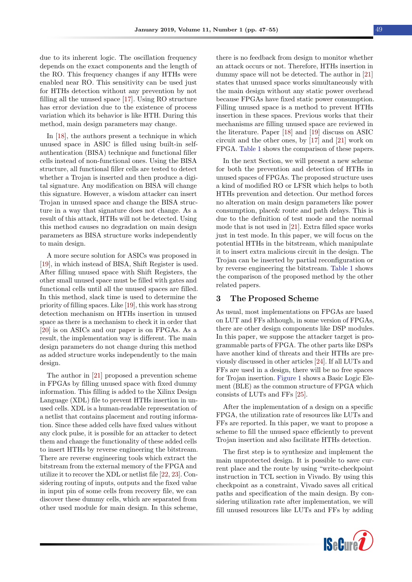due to its inherent logic. The oscillation frequency depends on the exact components and the length of the RO. This frequency changes if any HTHs were enabled near RO. This sensitivity can be used just for HTHs detection without any prevention by not filling all the unused space [\[17\]](#page-8-0). Using RO structure has error deviation due to the existence of process variation which its behavior is like HTH. During this method, main design parameters may change.

In [\[18\]](#page-8-1), the authors present a technique in which unused space in ASIC is filled using built-in selfauthentication (BISA) technique and functional filler cells instead of non-functional ones. Using the BISA structure, all functional filler cells are tested to detect whether a Trojan is inserted and then produce a digital signature. Any modification on BISA will change this signature. However, a wisdom attacker can insert Trojan in unused space and change the BISA structure in a way that signature does not change. As a result of this attack, HTHs will not be detected. Using this method causes no degradation on main design parameters as BISA structure works independently to main design.

A more secure solution for ASICs was proposed in [\[19\]](#page-8-2), in which instead of BISA, Shift Register is used. After filling unused space with Shift Registers, the other small unused space must be filled with gates and functional cells until all the unused spaces are filled. In this method, slack time is used to determine the priority of filling spaces. Like [\[19\]](#page-8-2), this work has strong detection mechanism on HTHs insertion in unused space as there is a mechanism to check it in order that [\[20\]](#page-8-3) is on ASICs and our paper is on FPGAs. As a result, the implementation way is different. The main design parameters do not change during this method as added structure works independently to the main design.

The author in [\[21\]](#page-8-4) proposed a prevention scheme in FPGAs by filling unused space with fixed dummy information. This filling is added to the Xilinx Design Language (XDL) file to prevent HTHs insertion in unused cells. XDL is a human-readable representation of a netlist that contains placement and routing information. Since these added cells have fixed values without any clock pulse, it is possible for an attacker to detect them and change the functionality of these added cells to insert HTHs by reverse engineering the bitstream. There are reverse engineering tools which extract the bitstream from the external memory of the FPGA and utilize it to recover the XDL or netlist file [\[22,](#page-8-5) [23\]](#page-8-6). Considering routing of inputs, outputs and the fixed value in input pin of some cells from recovery file, we can discover these dummy cells, which are separated from other used module for main design. In this scheme,

there is no feedback from design to monitor whether an attack occurs or not. Therefore, HTHs insertion in dummy space will not be detected. The author in [\[21\]](#page-8-4) states that unused space works simultaneously with the main design without any static power overhead because FPGAs have fixed static power consumption. Filling unused space is a method to prevent HTHs insertion in these spaces. Previous works that their mechanisms are filling unused space are reviewed in the literature. Paper [\[18\]](#page-8-1) and [\[19\]](#page-8-2) discuss on ASIC circuit and the other ones, by [\[17\]](#page-8-0) and [\[21\]](#page-8-4) work on FPGA. [Table 1](#page-3-0) shows the comparison of these papers.

In the next Section, we will present a new scheme for both the prevention and detection of HTHs in unused spaces of FPGAs. The proposed structure uses a kind of modified RO or LFSR which helps to both HTHs prevention and detection. Our method forces no alteration on main design parameters like power consumption, place& route and path delays. This is due to the definition of test mode and the normal mode that is not used in [\[21\]](#page-8-4). Extra filled space works just in test mode. In this paper, we will focus on the potential HTHs in the bitstream, which manipulate it to insert extra malicious circuit in the design. The Trojan can be inserted by partial reconfiguration or by reverse engineering the bitstream. [Table 1](#page-3-0) shows the comparison of the proposed method by the other related papers.

#### <span id="page-2-0"></span>3 The Proposed Scheme

As usual, most implementations on FPGAs are based on LUT and FFs although, in some version of FPGAs, there are other design components like DSP modules. In this paper, we suppose the attacker target is programmable parts of FPGA. The other parts like DSPs have another kind of threats and their HTHs are previously discussed in other articles [\[24\]](#page-8-7). If all LUTs and FFs are used in a design, there will be no free spaces for Trojan insertion. [Figure 1](#page-3-1) shows a Basic Logic Element (BLE) as the common structure of FPGA which consists of LUTs and FFs [\[25\]](#page-8-8).

After the implementation of a design on a specific FPGA, the utilization rate of resources like LUTs and FFs are reported. In this paper, we want to propose a scheme to fill the unused space efficiently to prevent Trojan insertion and also facilitate HTHs detection.

The first step is to synthesize and implement the main unprotected design. It is possible to save current place and the route by using "write-checkpoint instruction in TCL section in Vivado. By using this checkpoint as a constraint, Vivado saves all critical paths and specification of the main design. By considering utilization rate after implementation, we will fill unused resources like LUTs and FFs by adding

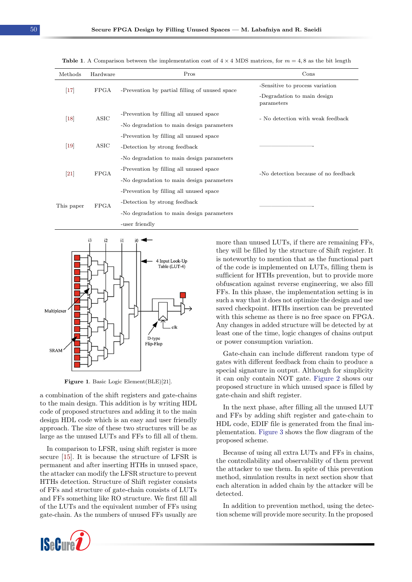| Methods           | Hardware    | Pros                                           | Cons                                      |  |
|-------------------|-------------|------------------------------------------------|-------------------------------------------|--|
| $\vert 17 \vert$  | FPGA        | -Prevention by partial filling of unused space | -Sensitive to process variation           |  |
|                   |             |                                                | -Degradation to main design<br>parameters |  |
| $\vert 18 \vert$  | ASIC        | -Prevention by filling all unused space        | - No detection with weak feedback         |  |
|                   |             | -No degradation to main design parameters      |                                           |  |
|                   |             | -Prevention by filling all unused space        |                                           |  |
| $[19]$            | ASIC        | -Detection by strong feedback                  |                                           |  |
|                   |             | -No degradation to main design parameters      |                                           |  |
| $\left[21\right]$ | <b>FPGA</b> | -Prevention by filling all unused space        | -No detection because of no feedback      |  |
|                   |             | -No degradation to main design parameters      |                                           |  |
|                   |             | -Prevention by filling all unused space        |                                           |  |
| This paper        | <b>FPGA</b> | -Detection by strong feedback                  |                                           |  |
|                   |             | -No degradation to main design parameters      |                                           |  |
|                   |             | -user friendly                                 |                                           |  |

<span id="page-3-0"></span>**Table 1.** A Comparison between the implementation cost of  $4 \times 4$  MDS matrices, for  $m = 4, 8$  as the bit length

<span id="page-3-1"></span>

Figure 1. Basic Logic Element(BLE)[21].

a combination of the shift registers and gate-chains to the main design. This addition is by writing HDL code of proposed structures and adding it to the main design HDL code which is an easy and user friendly approach. The size of these two structures will be as large as the unused LUTs and FFs to fill all of them.

In comparison to LFSR, using shift register is more secure [\[15\]](#page-7-12). It is because the structure of LFSR is permanent and after inserting HTHs in unused space, the attacker can modify the LFSR structure to prevent HTHs detection. Structure of Shift register consists of FFs and structure of gate-chain consists of LUTs and FFs something like RO structure. We first fill all of the LUTs and the equivalent number of FFs using gate-chain. As the numbers of unused FFs usually are



more than unused LUTs, if there are remaining FFs, they will be filled by the structure of Shift register. It is noteworthy to mention that as the functional part of the code is implemented on LUTs, filling them is sufficient for HTHs prevention, but to provide more obfuscation against reverse engineering, we also fill FFs. In this phase, the implementation setting is in such a way that it does not optimize the design and use saved checkpoint. HTHs insertion can be prevented with this scheme as there is no free space on FPGA. Any changes in added structure will be detected by at least one of the time, logic changes of chains output or power consumption variation.

Gate-chain can include different random type of gates with different feedback from chain to produce a special signature in output. Although for simplicity it can only contain NOT gate. [Figure 2](#page-4-1) shows our proposed structure in which unused space is filled by gate-chain and shift register.

In the next phase, after filling all the unused LUT and FFs by adding shift register and gate-chain to HDL code, EDIF file is generated from the final implementation. [Figure 3](#page-4-2) shows the flow diagram of the proposed scheme.

Because of using all extra LUTs and FFs in chains, the controllability and observability of them prevent the attacker to use them. In spite of this prevention method, simulation results in next section show that each alteration in added chain by the attacker will be detected.

In addition to prevention method, using the detection scheme will provide more security. In the proposed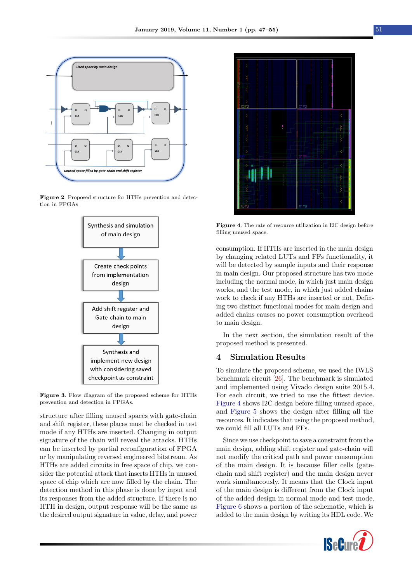<span id="page-4-1"></span>

<span id="page-4-2"></span>Figure 2. Proposed structure for HTHs prevention and detection in FPGAs



Figure 3. Flow diagram of the proposed scheme for HTHs prevention and detection in FPGAs.

structure after filling unused spaces with gate-chain and shift register, these places must be checked in test mode if any HTHs are inserted. Changing in output signature of the chain will reveal the attacks. HTHs can be inserted by partial reconfiguration of FPGA or by manipulating reversed engineered bitstream. As HTHs are added circuits in free space of chip, we consider the potential attack that inserts HTHs in unused space of chip which are now filled by the chain. The detection method in this phase is done by input and its responses from the added structure. If there is no HTH in design, output response will be the same as the desired output signature in value, delay, and power

<span id="page-4-3"></span>

Figure 4. The rate of resource utilization in I2C design before filling unused space.

consumption. If HTHs are inserted in the main design by changing related LUTs and FFs functionality, it will be detected by sample inputs and their response in main design. Our proposed structure has two mode including the normal mode, in which just main design works, and the test mode, in which just added chains work to check if any HTHs are inserted or not. Defining two distinct functional modes for main design and added chains causes no power consumption overhead to main design.

In the next section, the simulation result of the proposed method is presented.

#### <span id="page-4-0"></span>4 Simulation Results

To simulate the proposed scheme, we used the IWLS benchmark circuit [\[26\]](#page-8-9). The benchmark is simulated and implemented using Vivado design suite 2015.4. For each circuit, we tried to use the fittest device. [Figure 4](#page-4-3) shows I2C design before filling unused space, and [Figure 5](#page-5-0) shows the design after filling all the resources. It indicates that using the proposed method, we could fill all LUTs and FFs.

Since we use checkpoint to save a constraint from the main design, adding shift register and gate-chain will not modify the critical path and power consumption of the main design. It is because filler cells (gatechain and shift register) and the main design never work simultaneously. It means that the Clock input of the main design is different from the Clock input of the added design in normal mode and test mode. [Figure 6](#page-5-1) shows a portion of the schematic, which is added to the main design by writing its HDL code. We

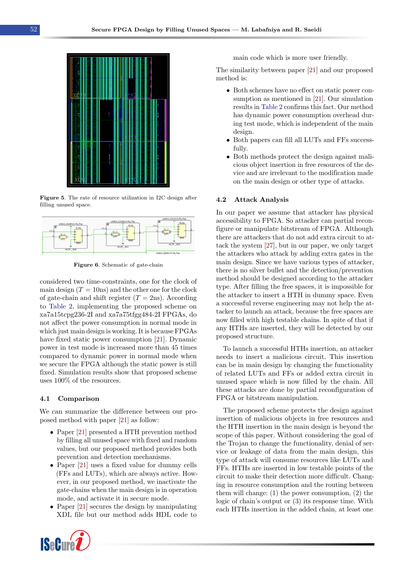<span id="page-5-0"></span>

Figure 5. The rate of resource utilization in I2C design after filling unused space.

<span id="page-5-1"></span>

Figure 6. Schematic of gate-chain

considered two time-constraints, one for the clock of main design  $(T = 10$ ns) and the other one for the clock of gate-chain and shift register  $(T = 2ns)$ . According to [Table 2,](#page-6-1) implementing the proposed scheme on xa7a15tcpg236-2I and xa7a75tfgg484-2I FPGAs, do not affect the power consumption in normal mode in which just main design is working. It is because FPGAs have fixed static power consumption [\[21\]](#page-8-4). Dynamic power in test mode is increased more than 45 times compared to dynamic power in normal mode when we secure the FPGA although the static power is still fixed. Simulation results show that proposed scheme uses 100% of the resources.

#### 4.1 Comparison

We can summarize the difference between our proposed method with paper [\[21\]](#page-8-4) as follow:

- Paper [\[21\]](#page-8-4) presented a HTH prevention method by filling all unused space with fixed and random values, but our proposed method provides both prevention and detection mechanisms.
- Paper [\[21\]](#page-8-4) uses a fixed value for dummy cells (FFs and LUTs), which are always active. However, in our proposed method, we inactivate the gate-chains when the main design is in operation mode, and activate it in secure mode.
- Paper [\[21\]](#page-8-4) secures the design by manipulating XDL file but our method adds HDL code to



main code which is more user friendly.

The similarity between paper [\[21\]](#page-8-4) and our proposed method is:

- Both schemes have no effect on static power consumption as mentioned in [\[21\]](#page-8-4). Our simulation results in [Table 2](#page-6-1) confirms this fact. Our method has dynamic power consumption overhead during test mode, which is independent of the main design.
- Both papers can fill all LUTs and FFs successfully.
- Both methods protect the design against malicious object insertion in free resources of the device and are irrelevant to the modification made on the main design or other type of attacks.

#### 4.2 Attack Analysis

In our paper we assume that attacker has physical accessibility to FPGA. So attacker can partial reconfigure or manipulate bitstream of FPGA. Although there are attackers that do not add extra circuit to attack the system [\[27\]](#page-8-10), but in our paper, we only target the attackers who attack by adding extra gates in the main design. Since we have various types of attacker, there is no silver bullet and the detection/prevention method should be designed according to the attacker type. After filling the free spaces, it is impossible for the attacker to insert a HTH in dummy space. Even a successful reverse engineering may not help the attacker to launch an attack, because the free spaces are now filled with high testable chains. In spite of that if any HTHs are inserted, they will be detected by our proposed structure.

To launch a successful HTHs insertion, an attacker needs to insert a malicious circuit. This insertion can be in main design by changing the functionality of related LUTs and FFs or added extra circuit in unused space which is now filled by the chain. All these attacks are done by partial reconfiguration of FPGA or bitstream manipulation.

The proposed scheme protects the design against insertion of malicious objects in free resources and the HTH insertion in the main design is beyond the scope of this paper. Without considering the goal of the Trojan to change the functionality, denial of service or leakage of data from the main design, this type of attack will consume resources like LUTs and FFs. HTHs are inserted in low testable points of the circuit to make their detection more difficult. Changing in resource consumption and the routing between them will change: (1) the power consumption, (2) the logic of chain's output or (3) its response time. With each HTHs insertion in the added chain, at least one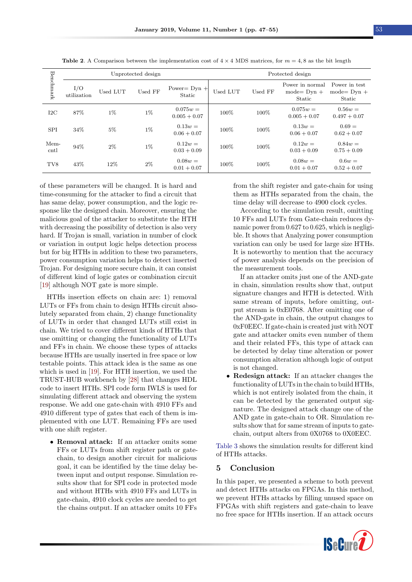<span id="page-6-1"></span>

|              | Unprotected design |          |         |                              | Protected design |         |                                             |                                           |
|--------------|--------------------|----------|---------|------------------------------|------------------|---------|---------------------------------------------|-------------------------------------------|
| Benchmark    | I/O<br>utilization | Used LUT | Used FF | Power= $Dyn +$<br>Static     | Used LUT         | Used FF | Power in normal<br>$mode = Dyn +$<br>Static | Power in test<br>$mode = Dyn +$<br>Static |
| $_{\rm{IC}}$ | 87%                | $1\%$    | $1\%$   | $0.075w =$<br>$0.005 + 0.07$ | 100%             | 100%    | $0.075w =$<br>$0.005 + 0.07$                | $0.56w =$<br>$0.497 + 0.07$               |
| <b>SPI</b>   | 34\%               | $5\%$    | $1\%$   | $0.13w =$<br>$0.06 + 0.07$   | 100%             | 100%    | $0.13w =$<br>$0.06 + 0.07$                  | $0.69 =$<br>$0.62 + 0.07$                 |
| Mem-<br>cntl | 94%                | $2\%$    | $1\%$   | $0.12w =$<br>$0.03 + 0.09$   | 100%             | 100\%   | $0.12w =$<br>$0.03 + 0.09$                  | $0.84w =$<br>$0.75 + 0.09$                |
| TV8          | 43%                | 12%      | $2\%$   | $0.08w =$<br>$0.01 + 0.07$   | 100%             | 100\%   | $0.08w =$<br>$0.01 + 0.07$                  | $0.6w =$<br>$0.52 + 0.07$                 |

**Table 2.** A Comparison between the implementation cost of  $4 \times 4$  MDS matrices, for  $m = 4, 8$  as the bit length

of these parameters will be changed. It is hard and time-consuming for the attacker to find a circuit that has same delay, power consumption, and the logic response like the designed chain. Moreover, ensuring the malicious goal of the attacker to substitute the HTH with decreasing the possibility of detection is also very hard. If Trojan is small, variation in number of clock or variation in output logic helps detection process but for big HTHs in addition to these two parameters, power consumption variation helps to detect inserted Trojan. For designing more secure chain, it can consist of different kind of logic gates or combination circuit [\[19\]](#page-8-2) although NOT gate is more simple.

HTHs insertion effects on chain are: 1) removal LUTs or FFs from chain to design HTHs circuit absolutely separated from chain, 2) change functionality of LUTs in order that changed LUTs still exist in chain. We tried to cover different kinds of HTHs that use omitting or changing the functionality of LUTs and FFs in chain. We choose these types of attacks because HTHs are usually inserted in free space or low testable points. This attack idea is the same as one which is used in [\[19\]](#page-8-2). For HTH insertion, we used the TRUST-HUB workbench by [\[28\]](#page-8-11) that changes HDL code to insert HTHs. SPI code form IWLS is used for simulating different attack and observing the system response. We add one gate-chain with 4910 FFs and 4910 different type of gates that each of them is implemented with one LUT. Remaining FFs are used with one shift register.

• Removal attack: If an attacker omits some FFs or LUTs from shift register path or gatechain, to design another circuit for malicious goal, it can be identified by the time delay between input and output response. Simulation results show that for SPI code in protected mode and without HTHs with 4910 FFs and LUTs in gate-chain, 4910 clock cycles are needed to get the chains output. If an attacker omits 10 FFs from the shift register and gate-chain for using them as HTHs separated from the chain, the time delay will decrease to 4900 clock cycles.

According to the simulation result, omitting 10 FFs and LUTs from Gate-chain reduces dynamic power from 0.627 to 0.625, which is negligible. It shows that Analyzing power consumption variation can only be used for large size HTHs. It is noteworthy to mention that the accuracy of power analysis depends on the precision of the measurement tools.

If an attacker omits just one of the AND-gate in chain, simulation results show that, output signature changes and HTH is detected. With same stream of inputs, before omitting, output stream is 0xE0768. After omitting one of the AND-gate in chain, the output changes to 0xF0EEC. If gate-chain is created just with NOT gate and attacker omits even number of them and their related FFs, this type of attack can be detected by delay time alteration or power consumption alteration although logic of output is not changed.

• Redesign attack: If an attacker changes the functionality of LUTs in the chain to build HTHs, which is not entirely isolated from the chain, it can be detected by the generated output signature. The designed attack change one of the AND gate in gate-chain to OR. Simulation results show that for same stream of inputs to gatechain, output alters from 0X0768 to 0X0EEC.

[Table 3](#page-7-14) shows the simulation results for different kind of HTHs attacks.

#### <span id="page-6-0"></span>5 Conclusion

In this paper, we presented a scheme to both prevent and detect HTHs attacks on FPGAs. In this method, we prevent HTHs attacks by filling unused space on FPGAs with shift registers and gate-chain to leave no free space for HTHs insertion. If an attack occurs

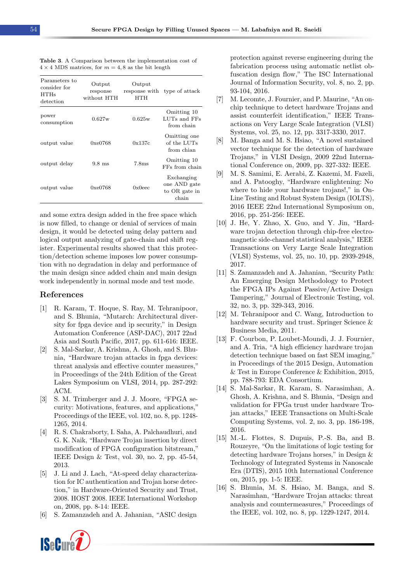| Parameters to<br>consider for<br>HTHs<br>detection | Output<br>response<br>without HTH | Output<br>response with<br>HTH | type of attack                                       |
|----------------------------------------------------|-----------------------------------|--------------------------------|------------------------------------------------------|
| power<br>consumption                               | 0.627w                            | 0.625w                         | Omitting 10<br>LUTs and FFs<br>from chain            |
| output value                                       | 0xe0768                           | 0x137c                         | Omitting one<br>of the LUTs<br>from chian            |
| output delay                                       | $9.8$ ms                          | 7.8 <sub>ms</sub>              | Omitting 10<br>FFs from chain                        |
| output value                                       | 0xe0768                           | 0x0eec                         | Exchanging<br>one AND gate<br>to OR gate in<br>chain |

<span id="page-7-14"></span>Table 3. A Comparison between the implementation cost of  $4 \times 4$  MDS matrices, for  $m = 4, 8$  as the bit length

and some extra design added in the free space which is now filled, to change or denial of services of main design, it would be detected using delay pattern and logical output analyzing of gate-chain and shift register. Experimental results showed that this protection/detection scheme imposes low power consumption with no degradation in delay and performance of the main design since added chain and main design work independently in normal mode and test mode.

#### References

- <span id="page-7-0"></span>[1] R. Karam, T. Hoque, S. Ray, M. Tehranipoor, and S. Bhunia, "Mutarch: Architectural diversity for fpga device and ip security," in Design Automation Conference (ASP-DAC), 2017 22nd Asia and South Pacific, 2017, pp. 611-616: IEEE.
- <span id="page-7-1"></span>[2] S. Mal-Sarkar, A. Krishna, A. Ghosh, and S. Bhunia, "Hardware trojan attacks in fpga devices: threat analysis and effective counter measures," in Proceedings of the 24th Edition of the Great Lakes Symposium on VLSI, 2014, pp. 287-292: ACM.
- <span id="page-7-2"></span>[3] S. M. Trimberger and J. J. Moore, "FPGA security: Motivations, features, and applications," Proceedings of the IEEE, vol. 102, no. 8, pp. 1248- 1265, 2014.
- <span id="page-7-3"></span>[4] R. S. Chakraborty, I. Saha, A. Palchaudhuri, and G. K. Naik, "Hardware Trojan insertion by direct modification of FPGA configuration bitstream," IEEE Design & Test, vol. 30, no. 2, pp. 45-54, 2013.
- <span id="page-7-4"></span>[5] J. Li and J. Lach, "At-speed delay characterization for IC authentication and Trojan horse detection," in Hardware-Oriented Security and Trust, 2008. HOST 2008. IEEE International Workshop on, 2008, pp. 8-14: IEEE.
- [6] S. Zamanzadeh and A. Jahanian, "ASIC design



protection against reverse engineering during the fabrication process using automatic netlist obfuscation design flow," The ISC International Journal of Information Security, vol. 8, no. 2, pp. 93-104, 2016.

- <span id="page-7-11"></span>[7] M. Lecomte, J. Fournier, and P. Maurine, "An onchip technique to detect hardware Trojans and assist counterfeit identification," IEEE Transactions on Very Large Scale Integration (VLSI) Systems, vol. 25, no. 12, pp. 3317-3330, 2017.
- [8] M. Banga and M. S. Hsiao, "A novel sustained vector technique for the detection of hardware Trojans," in VLSI Design, 2009 22nd International Conference on, 2009, pp. 327-332: IEEE.
- <span id="page-7-6"></span>[9] M. S. Samimi, E. Aerabi, Z. Kazemi, M. Fazeli, and A. Patooghy, "Hardware enlightening: No where to hide your hardware trojans!," in On-Line Testing and Robust System Design (IOLTS), 2016 IEEE 22nd International Symposium on, 2016, pp. 251-256: IEEE.
- <span id="page-7-5"></span>[10] J. He, Y. Zhao, X. Guo, and Y. Jin, "Hardware trojan detection through chip-free electromagnetic side-channel statistical analysis," IEEE Transactions on Very Large Scale Integration (VLSI) Systems, vol. 25, no. 10, pp. 2939-2948, 2017.
- <span id="page-7-7"></span>[11] S. Zamanzadeh and A. Jahanian, "Security Path: An Emerging Design Methodology to Protect the FPGA IPs Against Passive/Active Design Tampering," Journal of Electronic Testing, vol. 32, no. 3, pp. 329-343, 2016.
- <span id="page-7-8"></span>[12] M. Tehranipoor and C. Wang, Introduction to hardware security and trust. Springer Science & Business Media, 2011.
- <span id="page-7-9"></span>[13] F. Courbon, P. Loubet-Moundi, J. J. Fournier, and A. Tria, "A high efficiency hardware trojan detection technique based on fast SEM imaging, in Proceedings of the 2015 Design, Automation & Test in Europe Conference & Exhibition, 2015, pp. 788-793: EDA Consortium.
- <span id="page-7-10"></span>[14] S. Mal-Sarkar, R. Karam, S. Narasimhan, A. Ghosh, A. Krishna, and S. Bhunia, "Design and validation for FPGa trust under hardware Trojan attacks," IEEE Transactions on Multi-Scale Computing Systems, vol. 2, no. 3, pp. 186-198, 2016.
- <span id="page-7-12"></span>[15] M.-L. Flottes, S. Dupuis, P.-S. Ba, and B. Rouzeyre, "On the limitations of logic testing for detecting hardware Trojans horses," in Design & Technology of Integrated Systems in Nanoscale Era (DTIS), 2015 10th International Conference on, 2015, pp. 1-5: IEEE.
- <span id="page-7-13"></span>[16] S. Bhunia, M. S. Hsiao, M. Banga, and S. Narasimhan, "Hardware Trojan attacks: threat analysis and countermeasures," Proceedings of the IEEE, vol. 102, no. 8, pp. 1229-1247, 2014.